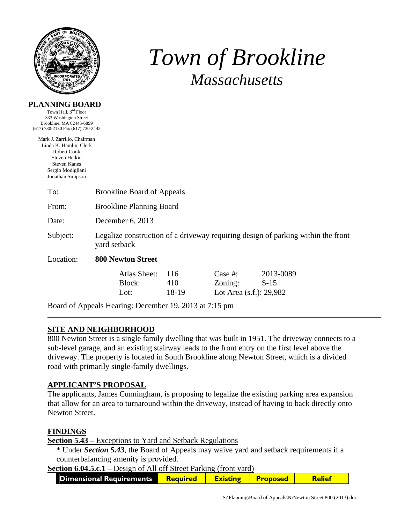

**PLANNING BOARD** 

# *Town of Brookline Massachusetts*

| Town Hall, 3 <sup>rd</sup> Floor<br>333 Washington Street                                                                                            |                                                                                                  |                     |                                                  |                     |  |  |
|------------------------------------------------------------------------------------------------------------------------------------------------------|--------------------------------------------------------------------------------------------------|---------------------|--------------------------------------------------|---------------------|--|--|
| Brookline, MA 02445-6899<br>(617) 730-2130 Fax (617) 730-2442                                                                                        |                                                                                                  |                     |                                                  |                     |  |  |
| Mark J. Zarrillo, Chairman<br>Linda K. Hamlin, Clerk<br>Robert Cook<br>Steven Heikin<br><b>Steven Kanes</b><br>Sergio Modigliani<br>Jonathan Simpson |                                                                                                  |                     |                                                  |                     |  |  |
| To:                                                                                                                                                  | <b>Brookline Board of Appeals</b>                                                                |                     |                                                  |                     |  |  |
| From:                                                                                                                                                | <b>Brookline Planning Board</b>                                                                  |                     |                                                  |                     |  |  |
| Date:                                                                                                                                                | December 6, 2013                                                                                 |                     |                                                  |                     |  |  |
| Subject:                                                                                                                                             | Legalize construction of a driveway requiring design of parking within the front<br>yard setback |                     |                                                  |                     |  |  |
| Location:                                                                                                                                            | <b>800 Newton Street</b>                                                                         |                     |                                                  |                     |  |  |
|                                                                                                                                                      | Atlas Sheet:<br>Block:<br>Lot:                                                                   | 116<br>410<br>18-19 | Case $#$ :<br>Zoning:<br>Lot Area (s.f.): 29,982 | 2013-0089<br>$S-15$ |  |  |
|                                                                                                                                                      | Board of Appeals Hearing: December 19, 2013 at 7:15 pm                                           |                     |                                                  |                     |  |  |

## **SITE AND NEIGHBORHOOD**

800 Newton Street is a single family dwelling that was built in 1951. The driveway connects to a sub-level garage, and an existing stairway leads to the front entry on the first level above the driveway. The property is located in South Brookline along Newton Street, which is a divided road with primarily single-family dwellings.

#### **APPLICANT'S PROPOSAL**

The applicants, James Cunningham, is proposing to legalize the existing parking area expansion that allow for an area to turnaround within the driveway, instead of having to back directly onto Newton Street.

#### **FINDINGS**

**Section 5.43 –** Exceptions to Yard and Setback Regulations

\* Under *Section 5.43*, the Board of Appeals may waive yard and setback requirements if a counterbalancing amenity is provided.

**Section 6.04.5.c.1** – Design of All off Street Parking (front yard)

| Dimensional Requirements<br><b>Required</b> |  | <b>Proposed</b> |  |
|---------------------------------------------|--|-----------------|--|
|---------------------------------------------|--|-----------------|--|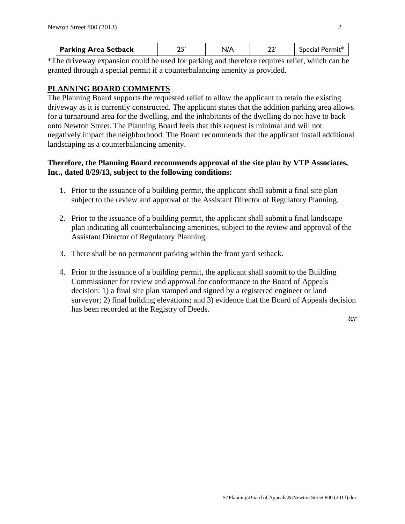| <b>Parking Area Setback</b> |  | Special |
|-----------------------------|--|---------|
|                             |  |         |

\*The driveway expansion could be used for parking and therefore requires relief, which can be granted through a special permit if a counterbalancing amenity is provided.

## **PLANNING BOARD COMMENTS**

The Planning Board supports the requested relief to allow the applicant to retain the existing driveway as it is currently constructed. The applicant states that the addition parking area allows for a turnaround area for the dwelling, and the inhabitants of the dwelling do not have to back onto Newton Street. The Planning Board feels that this request is minimal and will not negatively impact the neighborhood. The Board recommends that the applicant install additional landscaping as a counterbalancing amenity.

### **Therefore, the Planning Board recommends approval of the site plan by VTP Associates, Inc., dated 8/29/13, subject to the following conditions:**

- 1. Prior to the issuance of a building permit, the applicant shall submit a final site plan subject to the review and approval of the Assistant Director of Regulatory Planning.
- 2. Prior to the issuance of a building permit, the applicant shall submit a final landscape plan indicating all counterbalancing amenities, subject to the review and approval of the Assistant Director of Regulatory Planning.
- 3. There shall be no permanent parking within the front yard setback.
- 4. Prior to the issuance of a building permit, the applicant shall submit to the Building Commissioner for review and approval for conformance to the Board of Appeals decision: 1) a final site plan stamped and signed by a registered engineer or land surveyor; 2) final building elevations; and 3) evidence that the Board of Appeals decision has been recorded at the Registry of Deeds.